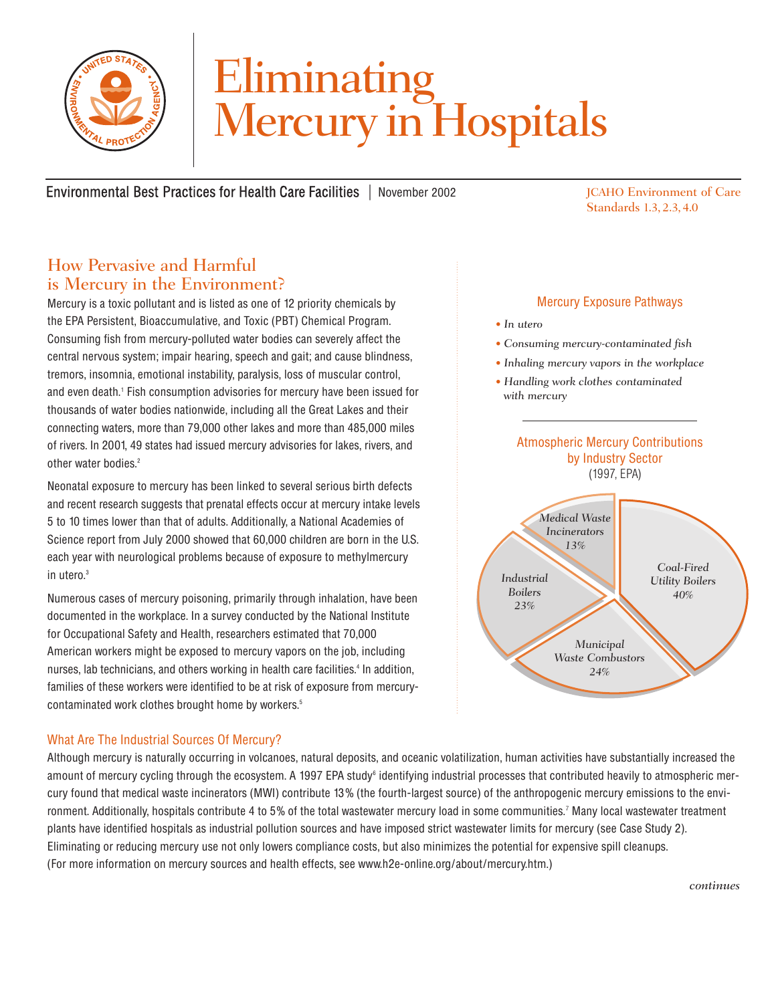

# Eliminating<br>Mercury in Hospitals

Environmental Best Practices for Health Care Facilities | November 2002

JCAHO Environment of Care Standards 1.3, 2.3, 4.0

### How Pervasive and Harmful is Mercury in the Environment?

Mercury is a toxic pollutant and is listed as one of 12 priority chemicals by the EPA Persistent, Bioaccumulative, and Toxic (PBT) Chemical Program. Consuming fish from mercury-polluted water bodies can severely affect the central nervous system; impair hearing, speech and gait; and cause blindness, tremors, insomnia, emotional instability, paralysis, loss of muscular control, and even death.1 Fish consumption advisories for mercury have been issued for thousands of water bodies nationwide, including all the Great Lakes and their connecting waters, more than 79,000 other lakes and more than 485,000 miles of rivers. In 2001, 49 states had issued mercury advisories for lakes, rivers, and other water bodies.<sup>2</sup>

Neonatal exposure to mercury has been linked to several serious birth defects and recent research suggests that prenatal effects occur at mercury intake levels 5 to 10 times lower than that of adults. Additionally, a National Academies of Science report from July 2000 showed that 60,000 children are born in the U.S. each year with neurological problems because of exposure to methylmercury in utero.3

Numerous cases of mercury poisoning, primarily through inhalation, have been documented in the workplace. In a survey conducted by the National Institute for Occupational Safety and Health, researchers estimated that 70,000 American workers might be exposed to mercury vapors on the job, including nurses, lab technicians, and others working in health care facilities.<sup>4</sup> In addition, families of these workers were identified to be at risk of exposure from mercurycontaminated work clothes brought home by workers.<sup>5</sup>

#### Mercury Exposure Pathways *• In utero*

- *Consuming mercury-contaminated fish*
- *Inhaling mercury vapors in the workplace*
- *Handling work clothes contaminated with mercury*



#### What Are The Industrial Sources Of Mercury?

Although mercury is naturally occurring in volcanoes, natural deposits, and oceanic volatilization, human activities have substantially increased the amount of mercury cycling through the ecosystem. A 1997 EPA study<sup>6</sup> identifying industrial processes that contributed heavily to atmospheric mercury found that medical waste incinerators (MWI) contribute 13 % (the fourth-largest source) of the anthropogenic mercury emissions to the environment. Additionally, hospitals contribute 4 to 5% of the total wastewater mercury load in some communities.<sup>7</sup> Many local wastewater treatment plants have identified hospitals as industrial pollution sources and have imposed strict wastewater limits for mercury (see Case Study 2). Eliminating or reducing mercury use not only lowers compliance costs, but also minimizes the potential for expensive spill cleanups. (For more information on mercury sources and health effects, see www.h2e-online.org/about/mercury.htm.)

*continues*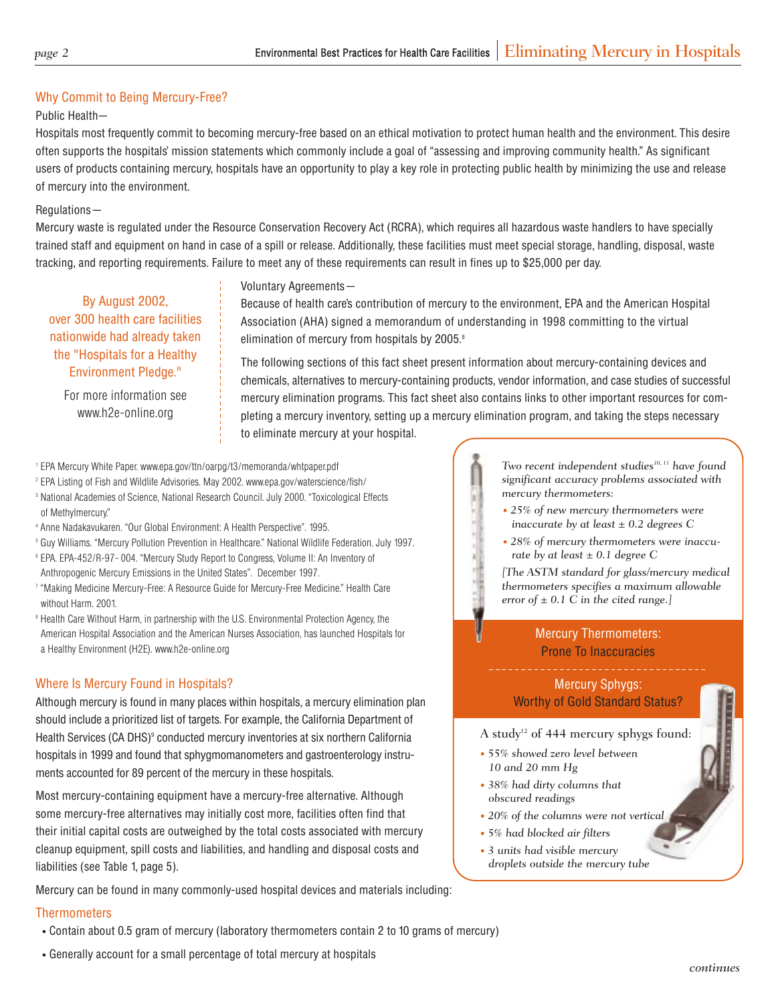#### Why Commit to Being Mercury-Free?

#### Public Health—

Hospitals most frequently commit to becoming mercury-free based on an ethical motivation to protect human health and the environment. This desire often supports the hospitals' mission statements which commonly include a goal of "assessing and improving community health." As significant users of products containing mercury, hospitals have an opportunity to play a key role in protecting public health by minimizing the use and release of mercury into the environment.

#### Regulations—

Mercury waste is regulated under the Resource Conservation Recovery Act (RCRA), which requires all hazardous waste handlers to have specially trained staff and equipment on hand in case of a spill or release. Additionally, these facilities must meet special storage, handling, disposal, waste tracking, and reporting requirements. Failure to meet any of these requirements can result in fines up to \$25,000 per day.

#### Voluntary Agreements—

By August 2002, over 300 health care facilities nationwide had already taken the "Hospitals for a Healthy Environment Pledge."

For more information see www.h2e-online.org

Because of health care's contribution of mercury to the environment, EPA and the American Hospital Association (AHA) signed a memorandum of understanding in 1998 committing to the virtual elimination of mercury from hospitals by 2005.<sup>8</sup>

The following sections of this fact sheet present information about mercury-containing devices and chemicals, alternatives to mercury-containing products, vendor information, and case studies of successful mercury elimination programs. This fact sheet also contains links to other important resources for completing a mercury inventory, setting up a mercury elimination program, and taking the steps necessary to eliminate mercury at your hospital.

- 1 EPA Mercury White Paper. www.epa.gov/ttn/oarpg/t3/memoranda/whtpaper.pdf
- <sup>2</sup> EPA Listing of Fish and Wildlife Advisories. May 2002. www.epa.gov/waterscience/fish/
- <sup>3</sup> National Academies of Science, National Research Council. July 2000. "Toxicological Effects of Methylmercury."
- 4 Anne Nadakavukaren. "Our Global Environment: A Health Perspective". 1995.
- 5 Guy Williams. "Mercury Pollution Prevention in Healthcare." National Wildlife Federation. July 1997.
- <sup>6</sup> EPA. EPA-452/R-97- 004. "Mercury Study Report to Congress, Volume II: An Inventory of Anthropogenic Mercury Emissions in the United States". December 1997.
- 7 "Making Medicine Mercury-Free: A Resource Guide for Mercury-Free Medicine." Health Care without Harm. 2001.
- <sup>8</sup> Health Care Without Harm, in partnership with the U.S. Environmental Protection Agency, the American Hospital Association and the American Nurses Association, has launched Hospitals for a Healthy Environment (H2E). www.h2e-online.org

#### Where Is Mercury Found in Hospitals?

Although mercury is found in many places within hospitals, a mercury elimination plan should include a prioritized list of targets. For example, the California Department of Health Services (CA DHS)<sup>9</sup> conducted mercury inventories at six northern California hospitals in 1999 and found that sphygmomanometers and gastroenterology instruments accounted for 89 percent of the mercury in these hospitals.

Most mercury-containing equipment have a mercury-free alternative. Although some mercury-free alternatives may initially cost more, facilities often find that their initial capital costs are outweighed by the total costs associated with mercury cleanup equipment, spill costs and liabilities, and handling and disposal costs and liabilities (see Table 1, page 5).

Mercury can be found in many commonly-used hospital devices and materials including:

#### **Thermometers**

- Contain about 0.5 gram of mercury (laboratory thermometers contain 2 to 10 grams of mercury)
- Generally account for a small percentage of total mercury at hospitals

*10, 11 have found Two recent independent studies significant accuracy problems associated with mercury thermometers:* 

- *25% of new mercury thermometers were inaccurate by at least ± 0.2 degrees C*
- *28% of mercury thermometers were inaccurate by at least ± 0.1 degree C*

*thermometers specifies a maximum allowable [The ASTM standard for glass/mercury medical error of ± 0.1 C in the cited range.]* 

#### Mercury Thermometers: Prone To Inaccuracies

Mercury Sphygs: Worthy of Gold Standard Status?

A study<sup>12</sup> of 444 mercury sphygs found:

- *55% showed zero level between 10 and 20 mm Hg*
- *38% had dirty columns that obscured readings*
- *20% of the columns were not vertical*
- *5% had blocked air filters*
- *3 units had visible mercury droplets outside the mercury tube*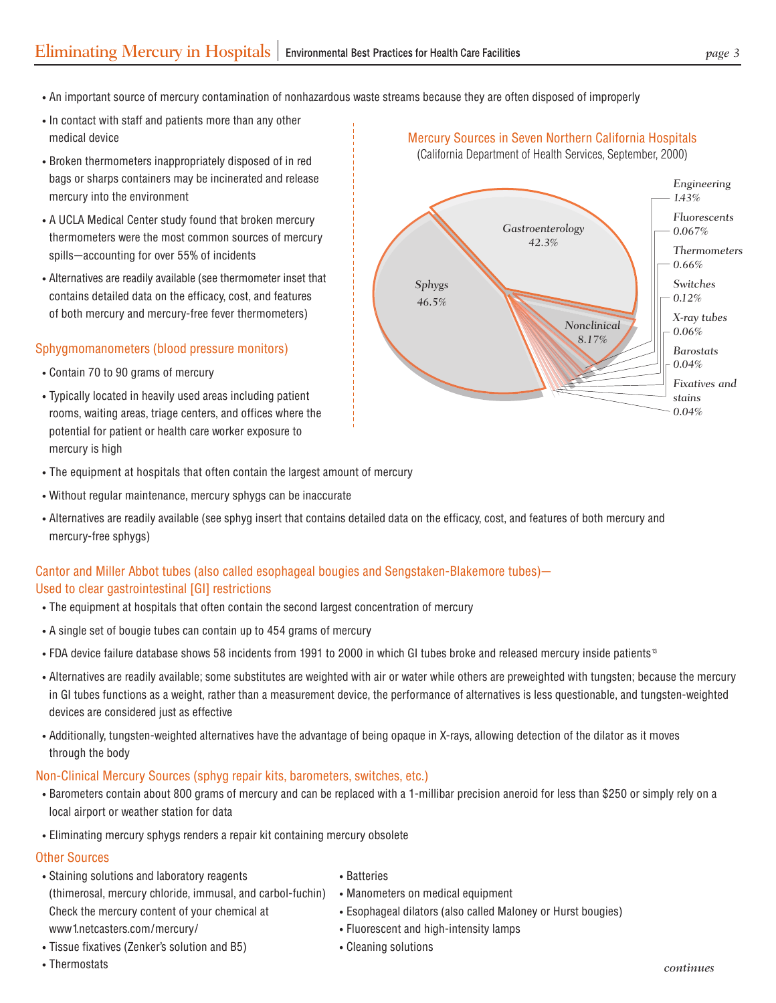- An important source of mercury contamination of nonhazardous waste streams because they are often disposed of improperly
- In contact with staff and patients more than any other medical device Mercury Sources in Seven Northern California Hospitals and Mercury Sources in Seven Northern California Hospitals
- Broken thermometers inappropriately disposed of in red bags or sharps containers may be incinerated and release mercury into the environment
- A UCLA Medical Center study found that broken mercury thermometers were the most common sources of mercury spills—accounting for over 55% of incidents
- Alternatives are readily available (see thermometer inset that contains detailed data on the efficacy, cost, and features of both mercury and mercury-free fever thermometers)

#### Sphygmomanometers (blood pressure monitors)

- Contain 70 to 90 grams of mercury
- Typically located in heavily used areas including patient rooms, waiting areas, triage centers, and offices where the potential for patient or health care worker exposure to mercury is high
- *Sphygs 46.5% Gastroenterology 42.3% Nonclinical 8.17% Engineering 1.43% Fluorescents 0.067% Thermometers 0.66% Switches 0.12% X-ray tubes 0.06% Barostats 0.04% Fixatives and stains 0.04%*

(California Department of Health Services, September, 2000)

- The equipment at hospitals that often contain the largest amount of mercury
- Without regular maintenance, mercury sphygs can be inaccurate
- Alternatives are readily available (see sphyg insert that contains detailed data on the efficacy, cost, and features of both mercury and mercury-free sphygs)

#### Cantor and Miller Abbot tubes (also called esophageal bougies and Sengstaken-Blakemore tubes)— Used to clear gastrointestinal [GI] restrictions

- The equipment at hospitals that often contain the second largest concentration of mercury
- A single set of bougie tubes can contain up to 454 grams of mercury
- FDA device failure database shows 58 incidents from 1991 to 2000 in which GI tubes broke and released mercury inside patients<sup>13</sup>
- Alternatives are readily available; some substitutes are weighted with air or water while others are preweighted with tungsten; because the mercury in GI tubes functions as a weight, rather than a measurement device, the performance of alternatives is less questionable, and tungsten-weighted devices are considered just as effective
- Additionally, tungsten-weighted alternatives have the advantage of being opaque in X-rays, allowing detection of the dilator as it moves through the body

#### Non-Clinical Mercury Sources (sphyg repair kits, barometers, switches, etc.)

- Barometers contain about 800 grams of mercury and can be replaced with a 1-millibar precision aneroid for less than \$250 or simply rely on a local airport or weather station for data
- Eliminating mercury sphygs renders a repair kit containing mercury obsolete

#### Other Sources

- Staining solutions and laboratory reagents (thimerosal, mercury chloride, immusal, and carbol-fuchin) Check the mercury content of your chemical at www1.netcasters.com/mercury/
- Tissue fixatives (Zenker's solution and B5) Cleaning solutions
- Batteries
- Manometers on medical equipment
- Esophageal dilators (also called Maloney or Hurst bougies)
- Fluorescent and high-intensity lamps
	-
- Thermostats *continues*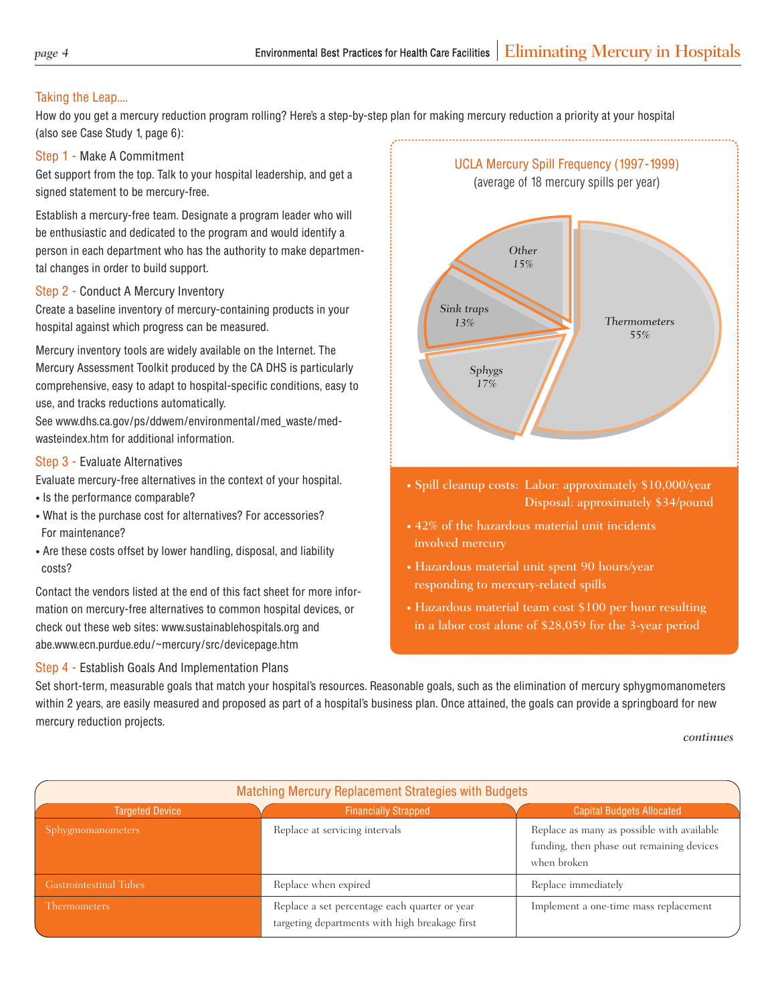#### Taking the Leap....

How do you get a mercury reduction program rolling? Here's a step-by-step plan for making mercury reduction a priority at your hospital (also see Case Study 1, page 6):

#### Step 1 - Make A Commitment

Get support from the top. Talk to your hospital leadership, and get a signed statement to be mercury-free.

Establish a mercury-free team. Designate a program leader who will be enthusiastic and dedicated to the program and would identify a person in each department who has the authority to make departmental changes in order to build support.

#### Step 2 - Conduct A Mercury Inventory

Create a baseline inventory of mercury-containing products in your hospital against which progress can be measured.

Mercury inventory tools are widely available on the Internet. The Mercury Assessment Toolkit produced by the CA DHS is particularly comprehensive, easy to adapt to hospital-specific conditions, easy to use, and tracks reductions automatically.

See www.dhs.ca.gov/ps/ddwem/environmental/med\_waste/medwasteindex.htm for additional information.

#### Step 3 - Evaluate Alternatives

Evaluate mercury-free alternatives in the context of your hospital.

- Is the performance comparable?
- What is the purchase cost for alternatives? For accessories? For maintenance?
- Are these costs offset by lower handling, disposal, and liability costs?

Contact the vendors listed at the end of this fact sheet for more information on mercury-free alternatives to common hospital devices, or check out these web sites: www.sustainablehospitals.org and abe.www.ecn.purdue.edu/~mercury/src/devicepage.htm

#### Step 4 - Establish Goals And Implementation Plans

*Sphygs 17% Sink traps 13% Other 15% Thermometers 55%* 

UCLA Mercury Spill Frequency (1997-1999) (average of 18 mercury spills per year)

- Spill cleanup costs: Labor: approximately \$10,000/year Disposal: approximately \$34/pound
- 42% of the hazardous material unit incidents
- Hazardous material unit spent 90 hours/year responding to mercury-related spills
- Hazardous material team cost \$100 per hour resulting in a labor cost alone of \$28,059 for the 3-year period

Set short-term, measurable goals that match your hospital's resources. Reasonable goals, such as the elimination of mercury sphygmomanometers within 2 years, are easily measured and proposed as part of a hospital's business plan. Once attained, the goals can provide a springboard for new mercury reduction projects.

*continues* 

| <b>Matching Mercury Replacement Strategies with Budgets</b> |                                                                                                 |                                                                                                        |  |  |  |
|-------------------------------------------------------------|-------------------------------------------------------------------------------------------------|--------------------------------------------------------------------------------------------------------|--|--|--|
| <b>Targeted Device</b>                                      | <b>Financially Strapped</b>                                                                     | <b>Capital Budgets Allocated</b>                                                                       |  |  |  |
| <b>Sphygmomanometers</b>                                    | Replace at servicing intervals                                                                  | Replace as many as possible with available<br>funding, then phase out remaining devices<br>when broken |  |  |  |
| <b>Gastrointestinal Tubes</b>                               | Replace when expired                                                                            | Replace immediately                                                                                    |  |  |  |
| <b>Thermometers</b>                                         | Replace a set percentage each quarter or year<br>targeting departments with high breakage first | Implement a one-time mass replacement                                                                  |  |  |  |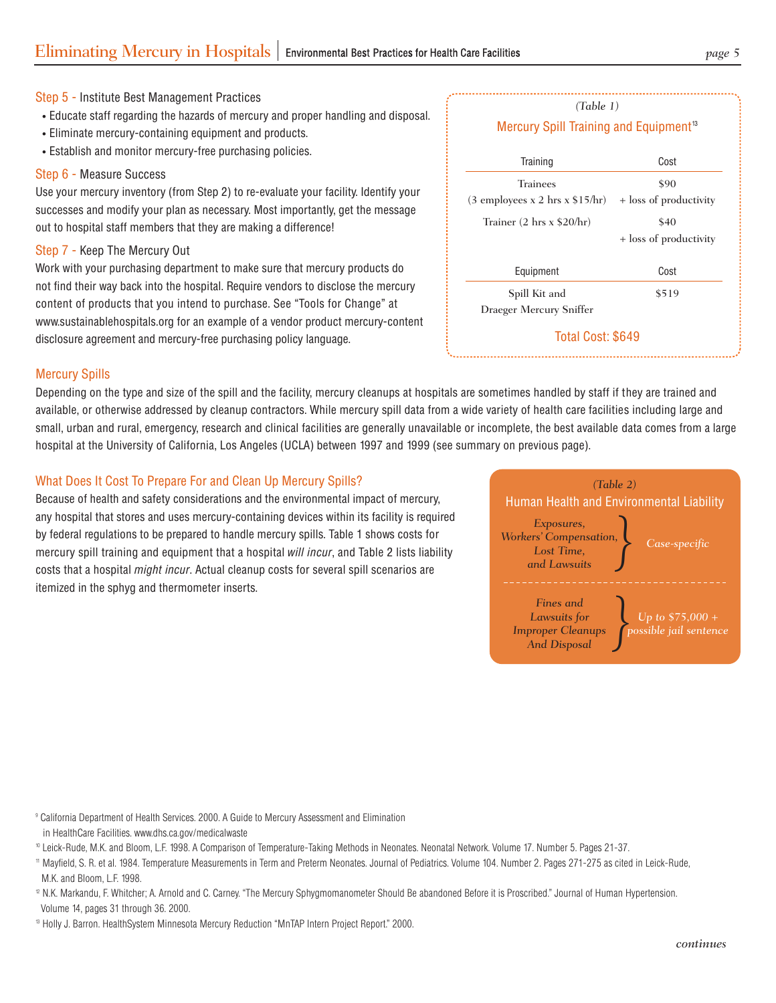#### Step 5 - Institute Best Management Practices

- Educate staff regarding the hazards of mercury and proper handling and disposal.
- Eliminate mercury-containing equipment and products.
- Establish and monitor mercury-free purchasing policies.

#### Step 6 - Measure Success

Use your mercury inventory (from Step 2) to re-evaluate your facility. Identify your successes and modify your plan as necessary. Most importantly, get the message out to hospital staff members that they are making a difference!

#### Step 7 - Keep The Mercury Out

Work with your purchasing department to make sure that mercury products do not find their way back into the hospital. Require vendors to disclose the mercury content of products that you intend to purchase. See "Tools for Change" at www.sustainablehospitals.org for an example of a vendor product mercury-content disclosure agreement and mercury-free purchasing policy language.

| Training                          | Cost                   |
|-----------------------------------|------------------------|
| Trainees                          | \$90                   |
| $(3$ employees x 2 hrs x \$15/hr) | + loss of productivity |
| Trainer (2 hrs x \$20/hr)         | \$40                   |
|                                   | + loss of productivity |
| Equipment                         | Cost                   |
| Spill Kit and                     | \$519                  |
| Draeger Mercury Sniffer           |                        |

*(Table 1)* 

#### Mercury Spills

Depending on the type and size of the spill and the facility, mercury cleanups at hospitals are sometimes handled by staff if they are trained and available, or otherwise addressed by cleanup contractors. While mercury spill data from a wide variety of health care facilities including large and small, urban and rural, emergency, research and clinical facilities are generally unavailable or incomplete, the best available data comes from a large hospital at the University of California, Los Angeles (UCLA) between 1997 and 1999 (see summary on previous page).

#### What Does It Cost To Prepare For and Clean Up Mercury Spills?

Because of health and safety considerations and the environmental impact of mercury, any hospital that stores and uses mercury-containing devices within its facility is required by federal regulations to be prepared to handle mercury spills. Table 1 shows costs for mercury spill training and equipment that a hospital will incur, and Table 2 lists liability costs that a hospital might incur. Actual cleanup costs for several spill scenarios are itemized in the sphyg and thermometer inserts.



9 California Department of Health Services. 2000. A Guide to Mercury Assessment and Elimination in HealthCare Facilities. www.dhs.ca.gov/medicalwaste

10 Leick-Rude, M.K. and Bloom, L.F. 1998. A Comparison of Temperature-Taking Methods in Neonates. Neonatal Network. Volume 17. Number 5. Pages 21-37.

11 Mayfield, S. R. et al. 1984. Temperature Measurements in Term and Preterm Neonates. Journal of Pediatrics. Volume 104. Number 2. Pages 271-275 as cited in Leick-Rude, M.K. and Bloom, L.F. 1998.

<sup>2</sup> N.K. Markandu, F. Whitcher; A. Arnold and C. Carney. "The Mercury Sphygmomanometer Should Be abandoned Before it is Proscribed." Journal of Human Hypertension. Volume 14, pages 31 through 36. 2000.

13 Holly J. Barron. HealthSystem Minnesota Mercury Reduction "MnTAP Intern Project Report." 2000.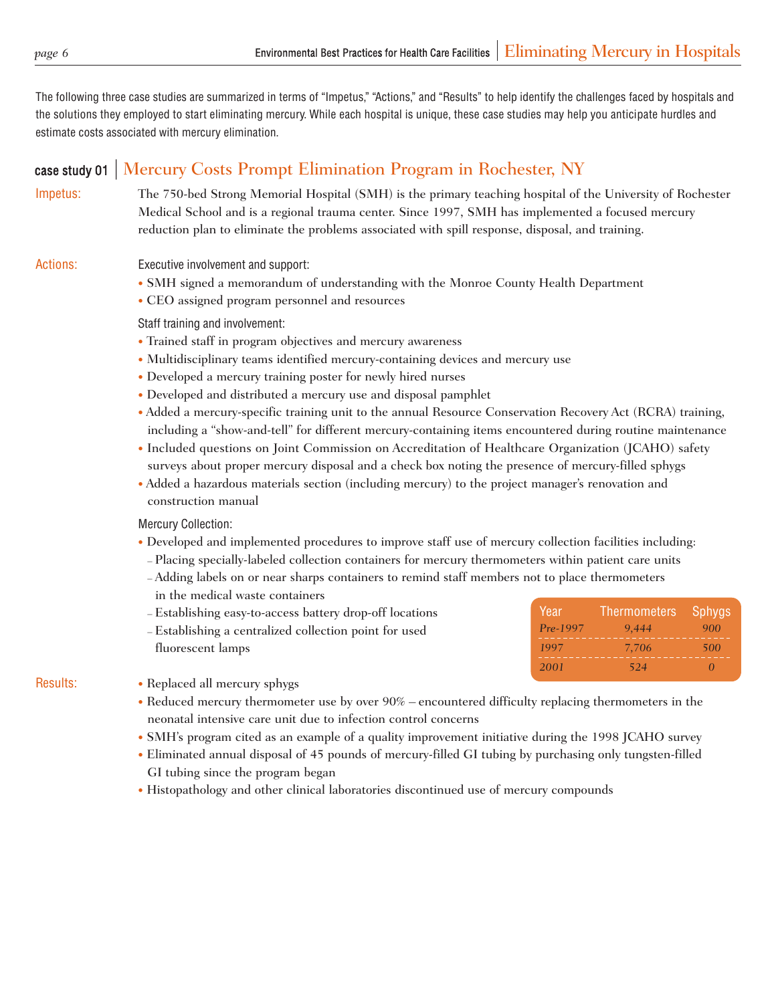The following three case studies are summarized in terms of "Impetus," "Actions," and "Results" to help identify the challenges faced by hospitals and the solutions they employed to start eliminating mercury. While each hospital is unique, these case studies may help you anticipate hurdles and estimate costs associated with mercury elimination.

#### case study 01 Mercury Costs Prompt Elimination Program in Rochester, NY

Impetus: The 750-bed Strong Memorial Hospital (SMH) is the primary teaching hospital of the University of Rochester Medical School and is a regional trauma center. Since 1997, SMH has implemented a focused mercury reduction plan to eliminate the problems associated with spill response, disposal, and training.

- Actions: Executive involvement and support:
	- SMH signed a memorandum of understanding with the Monroe County Health Department
	- CEO assigned program personnel and resources

Staff training and involvement:

- Trained staff in program objectives and mercury awareness
- Multidisciplinary teams identified mercury-containing devices and mercury use
- Developed a mercury training poster for newly hired nurses
- Developed and distributed a mercury use and disposal pamphlet
- Added a mercury-specific training unit to the annual Resource Conservation Recovery Act (RCRA) training, including a "show-and-tell" for different mercury-containing items encountered during routine maintenance
- Included questions on Joint Commission on Accreditation of Healthcare Organization (JCAHO) safety surveys about proper mercury disposal and a check box noting the presence of mercury-filled sphygs
- Added a hazardous materials section (including mercury) to the project manager's renovation and construction manual

Mercury Collection:

- Developed and implemented procedures to improve staff use of mercury collection facilities including:
- Placing specially-labeled collection containers for mercury thermometers within patient care units
- Adding labels on or near sharps containers to remind staff members not to place thermometers
- in the medical waste containers
- Establishing easy-to-access battery drop-off locations
- Establishing a centralized collection point for used fluorescent lamps

| Year<br>Pre-1997 | Thermometers<br>9,444 | Sphygs<br>900 |
|------------------|-----------------------|---------------|
| 1997             | 7.706                 | 500           |
| 2001             | _____<br>524          | _____         |

- Results: Replaced all mercury sphygs
	- Reduced mercury thermometer use by over 90% encountered difficulty replacing thermometers in the neonatal intensive care unit due to infection control concerns
	- SMH's program cited as an example of a quality improvement initiative during the 1998 JCAHO survey
	- Eliminated annual disposal of 45 pounds of mercury-filled GI tubing by purchasing only tungsten-filled GI tubing since the program began
	- Histopathology and other clinical laboratories discontinued use of mercury compounds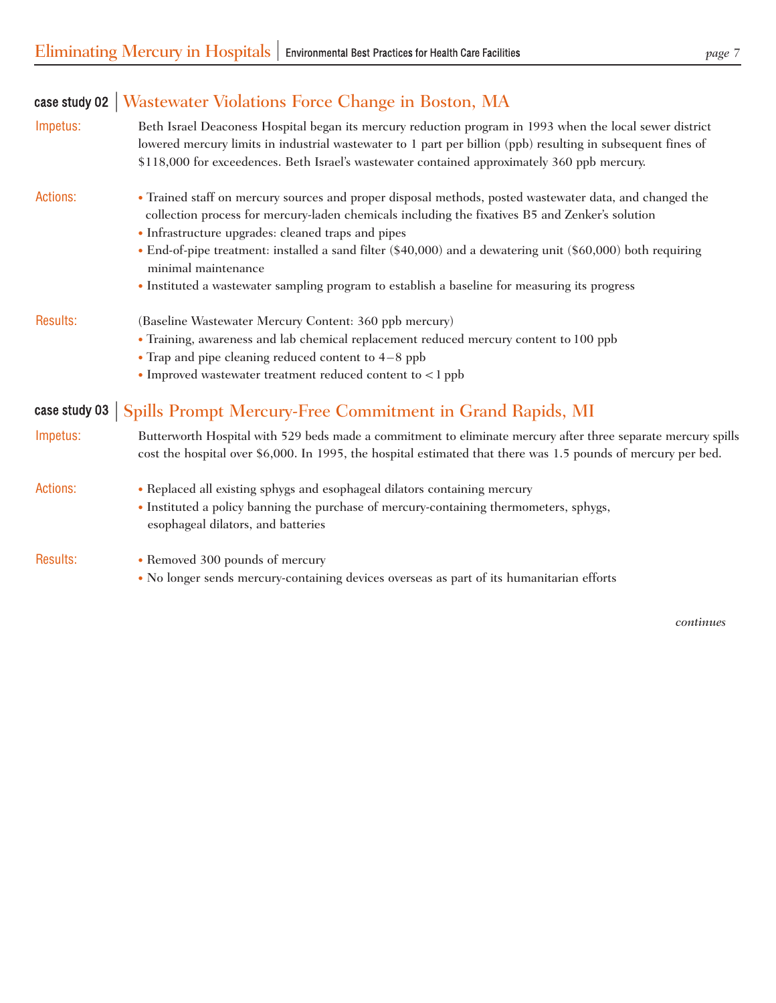| case study 02 $ $ | Wastewater Violations Force Change in Boston, MA                                                                                                                                                                                                                                                                                                                                                                                                                                                        |
|-------------------|---------------------------------------------------------------------------------------------------------------------------------------------------------------------------------------------------------------------------------------------------------------------------------------------------------------------------------------------------------------------------------------------------------------------------------------------------------------------------------------------------------|
| Impetus:          | Beth Israel Deaconess Hospital began its mercury reduction program in 1993 when the local sewer district<br>lowered mercury limits in industrial wastewater to 1 part per billion (ppb) resulting in subsequent fines of<br>\$118,000 for exceedences. Beth Israel's wastewater contained approximately 360 ppb mercury.                                                                                                                                                                                |
| <b>Actions:</b>   | • Trained staff on mercury sources and proper disposal methods, posted wastewater data, and changed the<br>collection process for mercury-laden chemicals including the fixatives B5 and Zenker's solution<br>• Infrastructure upgrades: cleaned traps and pipes<br>• End-of-pipe treatment: installed a sand filter (\$40,000) and a dewatering unit (\$60,000) both requiring<br>minimal maintenance<br>• Instituted a wastewater sampling program to establish a baseline for measuring its progress |
| Results:          | (Baseline Wastewater Mercury Content: 360 ppb mercury)<br>• Training, awareness and lab chemical replacement reduced mercury content to 100 ppb<br>$\bullet$ Trap and pipe cleaning reduced content to 4-8 ppb<br>• Improved wastewater treatment reduced content to <1 ppb                                                                                                                                                                                                                             |
| case study 03     | Spills Prompt Mercury-Free Commitment in Grand Rapids, MI                                                                                                                                                                                                                                                                                                                                                                                                                                               |
| Impetus:          | Butterworth Hospital with 529 beds made a commitment to eliminate mercury after three separate mercury spills<br>cost the hospital over \$6,000. In 1995, the hospital estimated that there was 1.5 pounds of mercury per bed.                                                                                                                                                                                                                                                                          |
| <b>Actions:</b>   | • Replaced all existing sphygs and esophageal dilators containing mercury<br>· Instituted a policy banning the purchase of mercury-containing thermometers, sphygs,<br>esophageal dilators, and batteries                                                                                                                                                                                                                                                                                               |

- 
- Results: Removed 300 pounds of mercury
	- No longer sends mercury-containing devices overseas as part of its humanitarian efforts

*continues*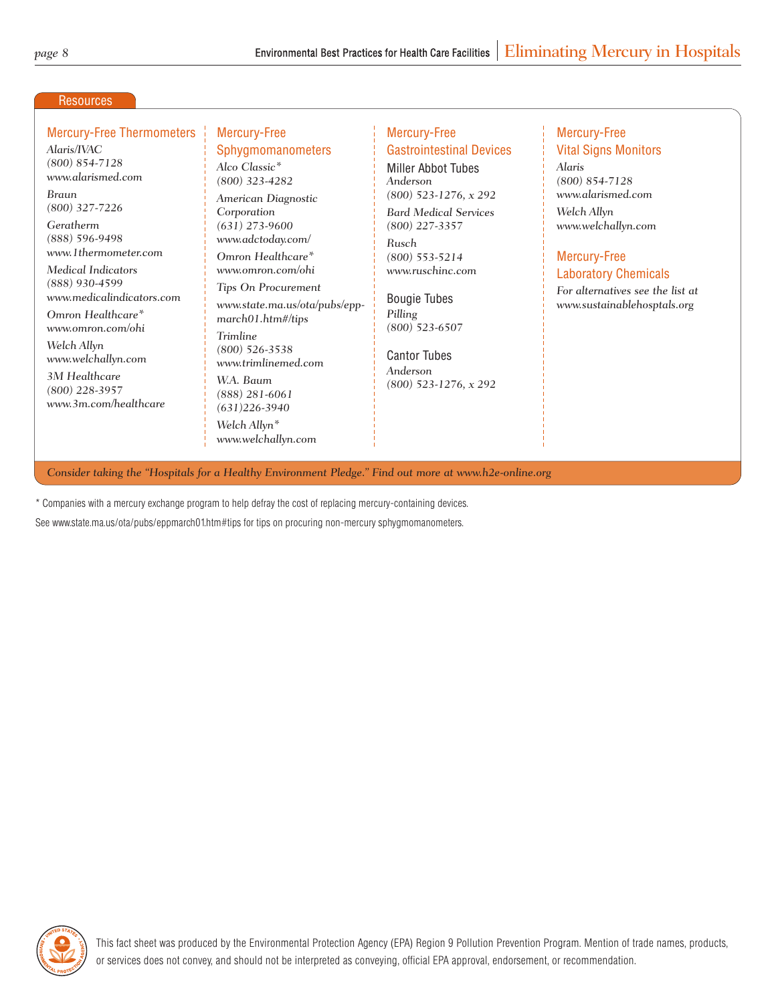#### **Resources**

#### Mercury-Free Thermometers Mercury-Free Mercury-Free Mercury-Free Mercury-Free

*(800) 854-7128 www.alarismed.com Braun*<br>(800) 327-7226 *Geratherm* (631) 273-9600 (800) 227-3357 www.welchallyn.com (888) 596-9498 *(888) 596-9498 www.adctoday.com/ Rusch Medical Indicators (888) 930-4599 www.medicalindicators.com Omron Healthcare\* www.omron.com/ohi Welch Allyn www.welchallyn.com* 

*3M Healthcare (800) 228-3957 www.3m.com/healthcare* 

## *Alco Classic\* (800) 323-4282*

*(800) 327-7226 American Diagnostic Corporation www.omron.com/ohi* 

*Tips On Procurement www.state.ma.us/ota/pubs/eppmarch01.htm#/tips* 

*Trimline (800) 526-3538 www.trimlinemed.com W.A. Baum (888) 281-6061 (631)226-3940 Welch Allyn\** 

*www.welchallyn.com* 

## Alaris/IVAC **Sphygmomanometers** Alastrointestinal Devices Alaris/IVAC **Vital Signs Monitors**

Miller Abbot Tubes *Anderson (800) 523-1276, x 292 Bard Medical Services Weron Healthcare\** (800) 553-5214 **Mercury-Free** *www.ruschinc.com* 

> Bougie Tubes *Pilling (800) 523-6507*

Cantor Tubes *Anderson (800) 523-1276, x 292* 

## *Alaris (800) 854-7128 www.alarismed.com Welch Allyn*

Laboratory Chemicals

*For alternatives see the list at www.sustainablehosptals.org* 

*Consider taking the "Hospitals for a Healthy Environment Pledge." Find out more at www.h2e-online.org* 

\* Companies with a mercury exchange program to help defray the cost of replacing mercury-containing devices.

See www.state.ma.us/ota/pubs/eppmarch01.htm#tips for tips on procuring non-mercury sphygmomanometers.

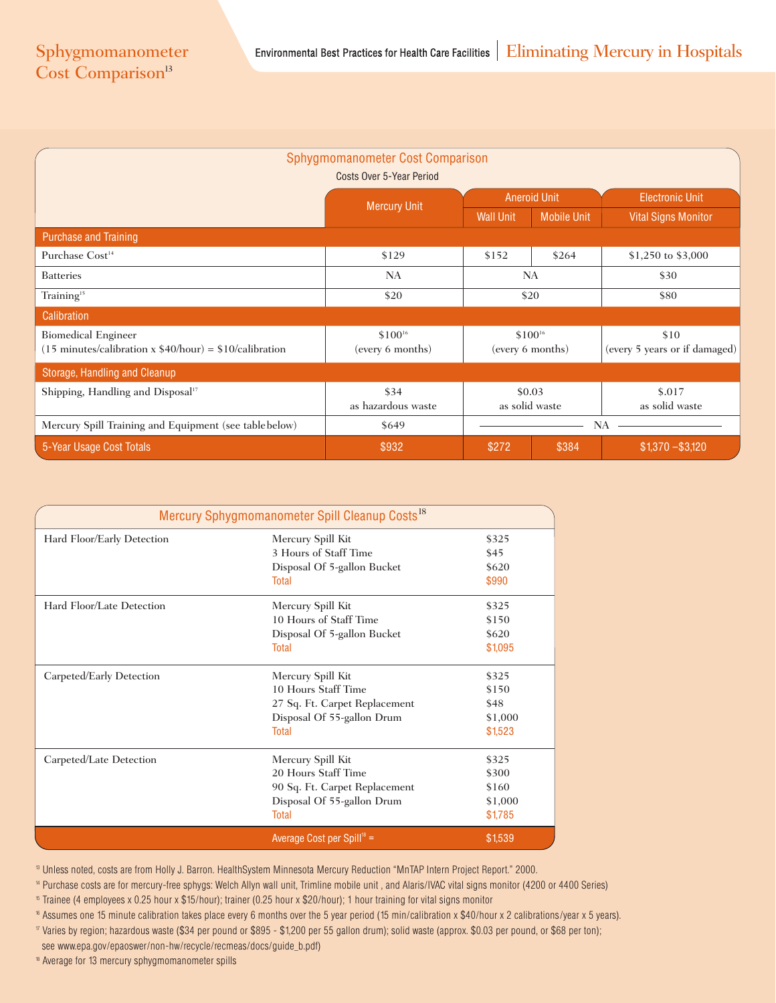| Sphygmomanometer Cost Comparison                                                   |                     |                     |                    |                               |  |  |  |
|------------------------------------------------------------------------------------|---------------------|---------------------|--------------------|-------------------------------|--|--|--|
| Costs Over 5-Year Period                                                           |                     |                     |                    |                               |  |  |  |
|                                                                                    | <b>Mercury Unit</b> | <b>Aneroid Unit</b> |                    | <b>Electronic Unit</b>        |  |  |  |
|                                                                                    |                     | <b>Wall Unit</b>    | <b>Mobile Unit</b> | <b>Vital Signs Monitor</b>    |  |  |  |
| <b>Purchase and Training</b>                                                       |                     |                     |                    |                               |  |  |  |
| Purchase Cost <sup>14</sup>                                                        | \$129               | \$152               | \$264              | \$1,250 to \$3,000            |  |  |  |
| <b>Batteries</b>                                                                   | <b>NA</b>           |                     | <b>NA</b>          | \$30                          |  |  |  |
| Training <sup>15</sup>                                                             | \$20                | \$20                |                    | \$80                          |  |  |  |
| Calibration                                                                        |                     |                     |                    |                               |  |  |  |
| <b>Biomedical Engineer</b>                                                         | $$100^{16}$         | $$100^{16}$         |                    | \$10                          |  |  |  |
| $(15 \text{ minutes/calibration} \times $40/\text{hour}) = $10/\text{calibration}$ | (every 6 months)    | (every 6 months)    |                    | (every 5 years or if damaged) |  |  |  |
| Storage, Handling and Cleanup                                                      |                     |                     |                    |                               |  |  |  |
| Shipping, Handling and Disposal <sup>17</sup>                                      | \$34                | \$0.03              |                    | \$.017                        |  |  |  |
|                                                                                    | as hazardous waste  |                     | as solid waste     | as solid waste                |  |  |  |
| Mercury Spill Training and Equipment (see table below)                             | \$649               |                     |                    | <b>NA</b>                     |  |  |  |
| 5-Year Usage Cost Totals                                                           | \$932               | \$272               | \$384              | $$1,370 - $3,120$             |  |  |  |

|                            | Mercury Sphygmomanometer Spill Cleanup Costs <sup>18</sup> |         |
|----------------------------|------------------------------------------------------------|---------|
| Hard Floor/Early Detection | Mercury Spill Kit                                          | \$325   |
|                            | 3 Hours of Staff Time                                      | \$45    |
|                            | Disposal Of 5-gallon Bucket                                | \$620   |
|                            | Total                                                      | \$990   |
| Hard Floor/Late Detection  | Mercury Spill Kit                                          | \$325   |
|                            | 10 Hours of Staff Time                                     | \$150   |
|                            | Disposal Of 5-gallon Bucket                                | \$620   |
|                            | Total                                                      | \$1,095 |
| Carpeted/Early Detection   | Mercury Spill Kit                                          | \$325   |
|                            | 10 Hours Staff Time                                        | \$150   |
|                            | 27 Sq. Ft. Carpet Replacement                              | \$48    |
|                            | Disposal Of 55-gallon Drum                                 | \$1,000 |
|                            | Total                                                      | \$1,523 |
| Carpeted/Late Detection    | Mercury Spill Kit                                          | \$325   |
|                            | 20 Hours Staff Time                                        | \$300   |
|                            | 90 Sq. Ft. Carpet Replacement                              | \$160   |
|                            | Disposal Of 55-gallon Drum                                 | \$1,000 |
|                            | <b>Total</b>                                               | \$1,785 |
|                            | Average Cost per Spill <sup>18</sup> =                     | \$1,539 |

 $^{\rm B}$  Unless noted, costs are from Holly J. Barron. HealthSystem Minnesota Mercury Reduction "MnTAP Intern Project Report." 2000.

14 Purchase costs are for mercury-free sphygs: Welch Allyn wall unit, Trimline mobile unit , and Alaris/IVAC vital signs monitor (4200 or 4400 Series)

 $^{\rm t}$  Trainee (4 employees x 0.25 hour x \$15/hour); trainer (0.25 hour x \$20/hour); 1 hour training for vital signs monitor

16 Assumes one 15 minute calibration takes place every 6 months over the 5 year period (15 min/calibration x \$40/hour x 2 calibrations/year x 5 years). 17 Varies by region; hazardous waste (\$34 per pound or \$895 - \$1,200 per 55 gallon drum); solid waste (approx. \$0.03 per pound, or \$68 per ton); see www.epa.gov/epaoswer/non-hw/recycle/recmeas/docs/guide\_b.pdf)

<sup>18</sup> Average for 13 mercury sphygmomanometer spills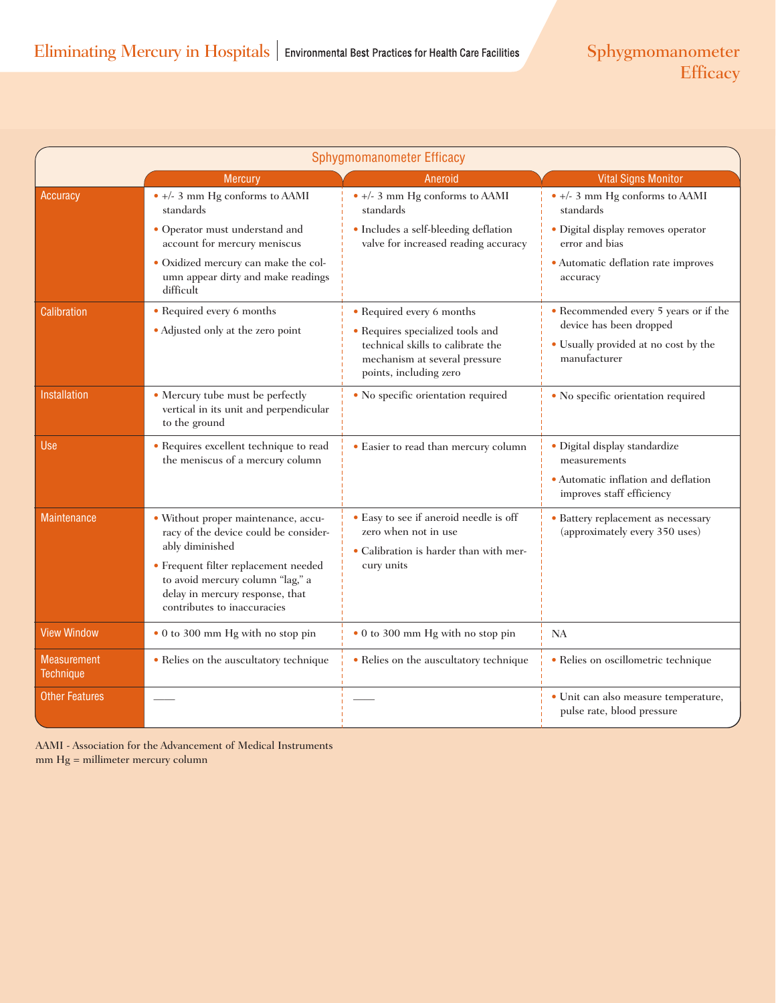| Sphygmomanometer Efficacy              |                                                                                                                                            |                                                                                                                                  |                                                                                      |  |  |
|----------------------------------------|--------------------------------------------------------------------------------------------------------------------------------------------|----------------------------------------------------------------------------------------------------------------------------------|--------------------------------------------------------------------------------------|--|--|
|                                        | <b>Mercury</b>                                                                                                                             | Aneroid                                                                                                                          | <b>Vital Signs Monitor</b>                                                           |  |  |
| Accuracy                               | $\bullet$ +/- 3 mm Hg conforms to AAMI<br>standards                                                                                        | $\bullet$ +/- 3 mm Hg conforms to AAMI<br>standards                                                                              | $\bullet$ +/- 3 mm Hg conforms to AAMI<br>standards                                  |  |  |
|                                        | • Operator must understand and<br>account for mercury meniscus                                                                             | • Includes a self-bleeding deflation<br>valve for increased reading accuracy                                                     | · Digital display removes operator<br>error and bias                                 |  |  |
|                                        | · Oxidized mercury can make the col-<br>umn appear dirty and make readings<br>difficult                                                    |                                                                                                                                  | · Automatic deflation rate improves<br>accuracy                                      |  |  |
| Calibration                            | • Required every 6 months                                                                                                                  | • Required every 6 months                                                                                                        | • Recommended every 5 years or if the                                                |  |  |
|                                        | • Adjusted only at the zero point                                                                                                          | • Requires specialized tools and<br>technical skills to calibrate the<br>mechanism at several pressure<br>points, including zero | device has been dropped<br>• Usually provided at no cost by the<br>manufacturer      |  |  |
| <b>Installation</b>                    | • Mercury tube must be perfectly<br>vertical in its unit and perpendicular<br>to the ground                                                | • No specific orientation required                                                                                               | • No specific orientation required                                                   |  |  |
| Use                                    | • Requires excellent technique to read<br>the meniscus of a mercury column                                                                 | • Easier to read than mercury column                                                                                             | · Digital display standardize<br>measurements<br>• Automatic inflation and deflation |  |  |
|                                        |                                                                                                                                            |                                                                                                                                  | improves staff efficiency                                                            |  |  |
| <b>Maintenance</b>                     | · Without proper maintenance, accu-<br>racy of the device could be consider-                                                               | • Easy to see if aneroid needle is off<br>zero when not in use                                                                   | • Battery replacement as necessary<br>(approximately every 350 uses)                 |  |  |
| ably diminished                        |                                                                                                                                            | • Calibration is harder than with mer-                                                                                           |                                                                                      |  |  |
|                                        | • Frequent filter replacement needed<br>to avoid mercury column "lag," a<br>delay in mercury response, that<br>contributes to inaccuracies | cury units                                                                                                                       |                                                                                      |  |  |
| <b>View Window</b>                     | • 0 to 300 mm Hg with no stop pin                                                                                                          | • 0 to 300 mm Hg with no stop pin                                                                                                | <b>NA</b>                                                                            |  |  |
| <b>Measurement</b><br><b>Technique</b> | • Relies on the auscultatory technique                                                                                                     | • Relies on the auscultatory technique                                                                                           | · Relies on oscillometric technique                                                  |  |  |
| <b>Other Features</b>                  |                                                                                                                                            |                                                                                                                                  | · Unit can also measure temperature,<br>pulse rate, blood pressure                   |  |  |

mm Hg = millimeter mercury column AAMI - Association for the Advancement of Medical Instruments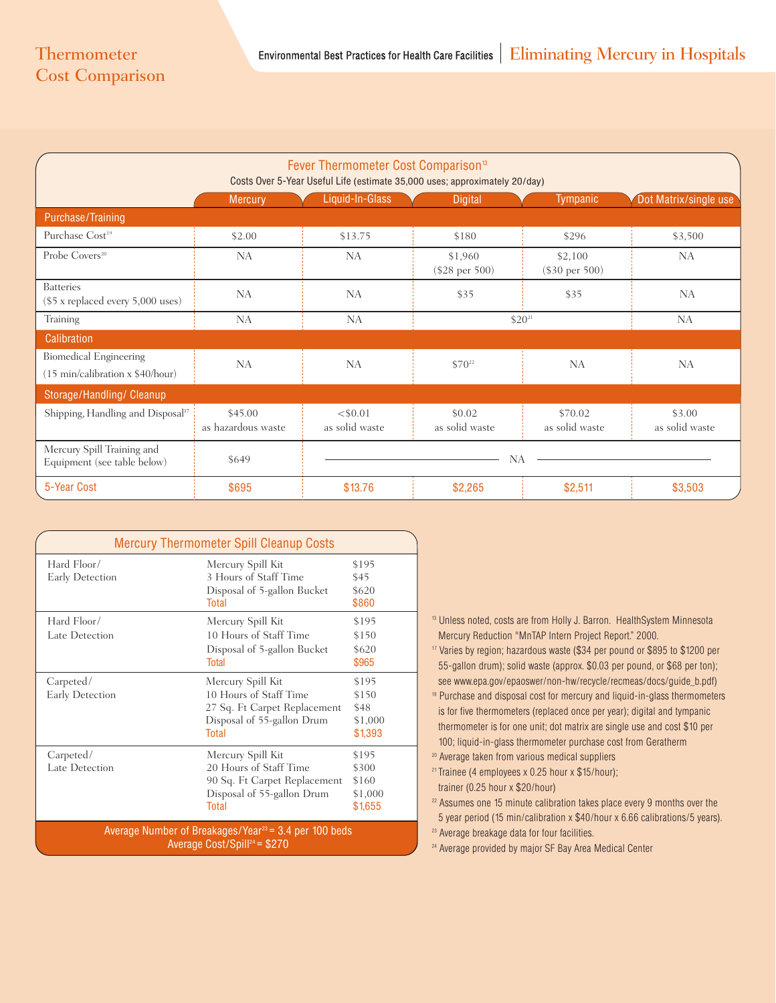## Cost Comparison

| Fever Thermometer Cost Comparison <sup>13</sup><br>Costs Over 5-Year Useful Life (estimate 35,000 uses; approximately 20/day) |                               |                              |                             |                             |                          |
|-------------------------------------------------------------------------------------------------------------------------------|-------------------------------|------------------------------|-----------------------------|-----------------------------|--------------------------|
|                                                                                                                               | <b>Mercury</b>                | Liquid-In-Glass              | <b>Digital</b>              | <b>Tympanic</b>             | Dot Matrix/single use    |
| Purchase/Training                                                                                                             |                               |                              |                             |                             |                          |
| Purchase Cost <sup>19</sup>                                                                                                   | \$2.00                        | \$13.75                      | \$180                       | \$296                       | \$3,500                  |
| Probe Covers <sup>20</sup>                                                                                                    | <b>NA</b>                     | <b>NA</b>                    | \$1,960<br>$(\$28$ per 500) | \$2,100<br>$(\$30$ per 500) | <b>NA</b>                |
| <b>Batteries</b><br>$(\$5 x replaced every 5,000 uses)$                                                                       | <b>NA</b>                     | <b>NA</b>                    | \$35                        | \$35                        | <b>NA</b>                |
| Training                                                                                                                      | <b>NA</b>                     | NA                           |                             | $$20^{21}$                  | NA                       |
| <b>Calibration</b>                                                                                                            |                               |                              |                             |                             |                          |
| <b>Biomedical Engineering</b><br>(15 min/calibration x \$40/hour)                                                             | <b>NA</b>                     | <b>NA</b>                    | $$70^{22}$                  | <b>NA</b>                   | <b>NA</b>                |
| Storage/Handling/ Cleanup                                                                                                     |                               |                              |                             |                             |                          |
| Shipping, Handling and Disposal <sup>17</sup>                                                                                 | \$45.00<br>as hazardous waste | $<$ \$0.01<br>as solid waste | \$0.02<br>as solid waste    | \$70.02<br>as solid waste   | \$3.00<br>as solid waste |
| Mercury Spill Training and<br>Equipment (see table below)                                                                     | \$649                         |                              | <b>NA</b>                   |                             |                          |
| 5-Year Cost                                                                                                                   | \$695                         | \$13.76                      | \$2,265                     | \$2,511                     | \$3,503                  |

| <b>Mercury Thermometer Spill Cleanup Costs</b>                                                       |                                                                                                                           |                                               |  |  |
|------------------------------------------------------------------------------------------------------|---------------------------------------------------------------------------------------------------------------------------|-----------------------------------------------|--|--|
| Hard Floor/<br>Early Detection                                                                       | Mercury Spill Kit<br>3 Hours of Staff Time                                                                                | \$195<br>\$45                                 |  |  |
|                                                                                                      | Disposal of 5-gallon Bucket<br><b>Total</b>                                                                               | \$620<br>\$860                                |  |  |
| Hard Floor/<br>Late Detection                                                                        | Mercury Spill Kit<br>10 Hours of Staff Time<br>Disposal of 5-gallon Bucket<br><b>Total</b>                                | \$195<br>\$150<br>\$620<br>\$965              |  |  |
| Carpeted/<br>Early Detection                                                                         | Mercury Spill Kit<br>10 Hours of Staff Time<br>27 Sq. Ft Carpet Replacement<br>Disposal of 55-gallon Drum<br><b>Total</b> | \$195<br>\$150<br>\$48<br>\$1,000<br>\$1,393  |  |  |
| Carpeted/<br>Late Detection                                                                          | Mercury Spill Kit<br>20 Hours of Staff Time<br>90 Sq. Ft Carpet Replacement<br>Disposal of 55-gallon Drum<br><b>Total</b> | \$195<br>\$300<br>\$160<br>\$1,000<br>\$1,655 |  |  |
| Average Number of Breakages/Year $23 = 3.4$ per 100 beds<br>Average Cost/Spill <sup>24</sup> = \$270 |                                                                                                                           |                                               |  |  |

- <sup>13</sup> Unless noted, costs are from Holly J. Barron. HealthSystem Minnesota Mercury Reduction "MnTAP Intern Project Report." 2000.
- 17 Varies by region; hazardous waste (\$34 per pound or \$895 to \$1200 per 55-gallon drum); solid waste (approx. \$0.03 per pound, or \$68 per ton); see www.epa.gov/epaoswer/non-hw/recycle/recmeas/docs/guide\_b.pdf)
- 19 Purchase and disposal cost for mercury and liquid-in-glass thermometers is for five thermometers (replaced once per year); digital and tympanic thermometer is for one unit; dot matrix are single use and cost \$10 per 100; liquid-in-glass thermometer purchase cost from Geratherm
- 20 Average taken from various medical suppliers
- 21 Trainee (4 employees x 0.25 hour x \$15/hour); trainer (0.25 hour x \$20/hour)
- 22 Assumes one 15 minute calibration takes place every 9 months over the 5 year period (15 min/calibration x \$40/hour x 6.66 calibrations/5 years).
- <sup>23</sup> Average breakage data for four facilities.
- 24 Average provided by major SF Bay Area Medical Center